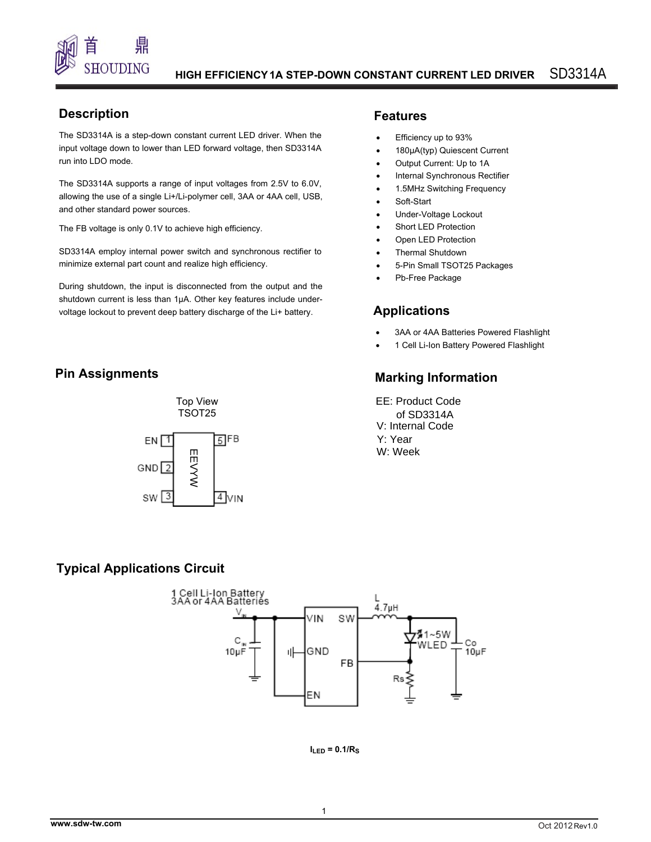

## **Description**

input voltage down to lower than LED forward voltage, then SD3314A The SD3314A is a step-down constant current LED driver. When the run into LDO mode.

The SD3314A supports a range of input voltages from 2.5V to 6.0V, allowing the use of a single Li+/Li-polymer cell, 3AA or 4AA cell, USB, and other standard power sources.

The FB voltage is only 0.1V to achieve high efficiency.

SD3314A employ internal power switch and synchronous rectifier to minimize external part count and realize high efficiency.

During shutdown, the input is disconnected from the output and the shutdown current is less than 1µA. Other key features include undervoltage lockout to prevent deep battery discharge of the Li+ battery.

## **Pin Assignments**





### **Features**

- Efficiency up to 93%
- 180µA(typ) Quiescent Current
- Output Current: Up to 1A
- Internal Synchronous Rectifier
- 1.5MHz Switching Frequency
- Soft-Start
- Under-Voltage Lockout
- Short LED Protection
- **Open LED Protection**
- Thermal Shutdown
- 5-Pin Small TSOT25 Packages
- Pb-Free Package

### **Applications**

- 3AA or 4AA Batteries Powered Flashlight
- 1 Cell Li-Ion Battery Powered Flashlight

### **Marking Information**

EE: Product Code V: Internal Code of SD3314A Y: Year W: Week

### **Typical Applications Circuit**



 $I_{LED} = 0.1/R<sub>S</sub>$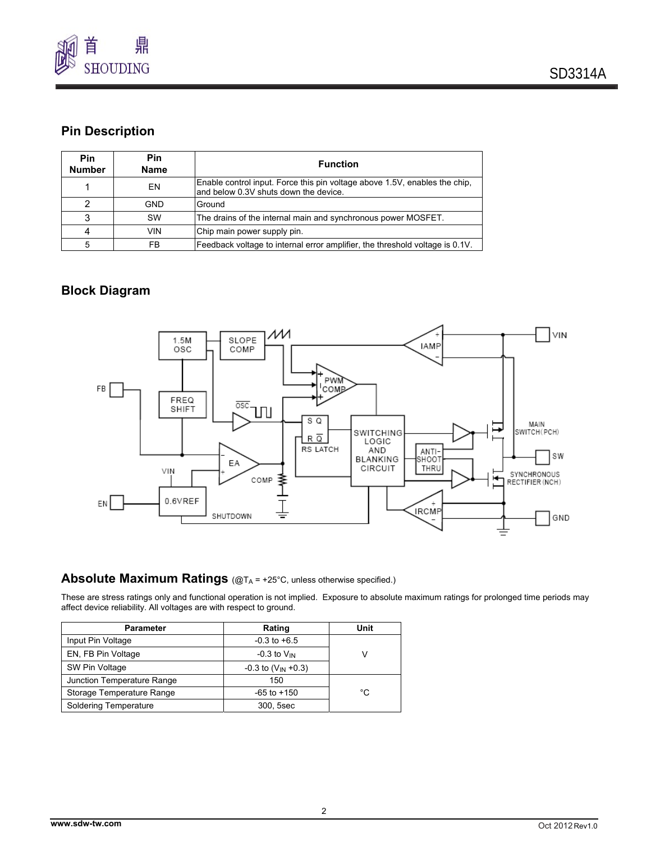

## **Pin Description**

| <b>Pin</b><br><b>Number</b> | Pin<br><b>Name</b> | <b>Function</b>                                                                                                      |
|-----------------------------|--------------------|----------------------------------------------------------------------------------------------------------------------|
|                             | EN                 | Enable control input. Force this pin voltage above 1.5V, enables the chip,<br>land below 0.3V shuts down the device. |
| 2                           | <b>GND</b>         | Ground                                                                                                               |
| 3                           | <b>SW</b>          | The drains of the internal main and synchronous power MOSFET.                                                        |
| 4                           | <b>VIN</b>         | Chip main power supply pin.                                                                                          |
| 5                           | FB                 | Feedback voltage to internal error amplifier, the threshold voltage is 0.1V.                                         |

### **Block Diagram**



### **Absolute Maximum Ratings** (@T<sub>A</sub> = +25°C, unless otherwise specified.)

These are stress ratings only and functional operation is not implied. Exposure to absolute maximum ratings for prolonged time periods may affect device reliability. All voltages are with respect to ground.

| <b>Parameter</b>           | Rating                     | Unit |  |
|----------------------------|----------------------------|------|--|
| Input Pin Voltage          | $-0.3$ to $+6.5$           |      |  |
| EN, FB Pin Voltage         | $-0.3$ to $V_{IN}$         |      |  |
| SW Pin Voltage             | $-0.3$ to $(V_{IN} + 0.3)$ |      |  |
| Junction Temperature Range | 150                        |      |  |
| Storage Temperature Range  | $-65$ to $+150$            | °C   |  |
| Soldering Temperature      | 300, 5sec                  |      |  |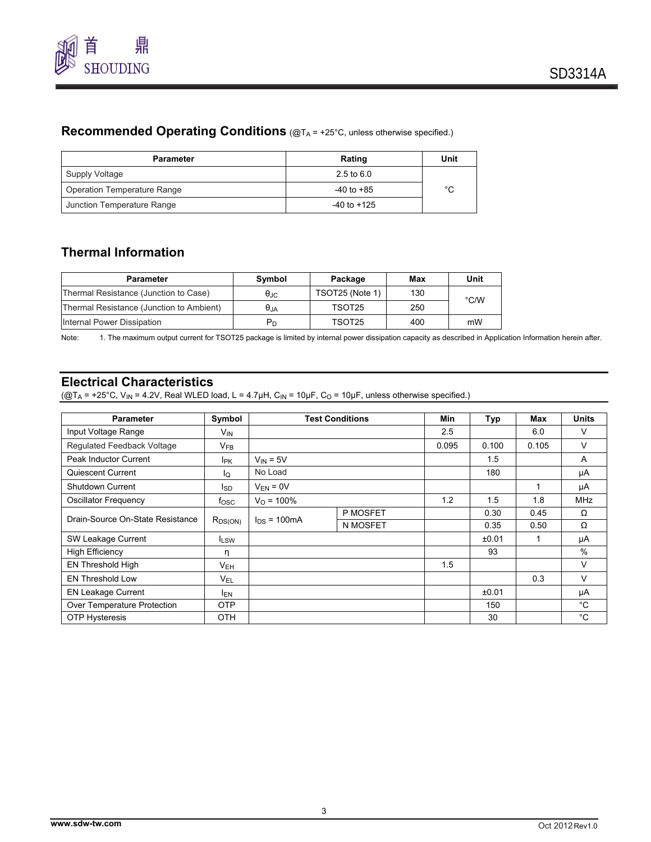

## **Recommended Operating Conditions** (@TA = +25°C, unless otherwise specified.)

| <b>Parameter</b>            | Rating                | Unit |
|-----------------------------|-----------------------|------|
| Supply Voltage              | $2.5 \text{ to } 6.0$ |      |
| Operation Temperature Range | $-40$ to $+85$        | °C   |
| Junction Temperature Range  | $-40$ to $+125$       |      |

## **Thermal Information**

| <b>Parameter</b>                         | Symbol            | Package         | Max | Unit          |
|------------------------------------------|-------------------|-----------------|-----|---------------|
| Thermal Resistance (Junction to Case)    | $\theta_{\rm JC}$ | TSOT25 (Note 1) | 130 | $\degree$ C/W |
| Thermal Resistance (Junction to Ambient) | $\theta_{JA}$     | TSOT25          | 250 |               |
| Internal Power Dissipation               | $P_D$             | TSOT25          | 400 | mW            |

Note: 1. The maximum output current for TSOT25 package is limited by internal power dissipation capacity as described in Application Information herein after.

## **Electrical Characteristics**

( $@T_A = +25^\circ \text{C}$ , V<sub>IN</sub> = 4.2V, Real WLED load, L = 4.7µH, C<sub>IN</sub> = 10µF, C<sub>O</sub> = 10µF, unless otherwise specified.)

| <b>Parameter</b>                          | Symbol          | <b>Test Conditions</b> |          | Min   | Typ   | Max   | <b>Units</b> |
|-------------------------------------------|-----------------|------------------------|----------|-------|-------|-------|--------------|
| Input Voltage Range                       | $V_{IN}$        |                        |          | 2.5   |       | 6.0   | v            |
| Regulated Feedback Voltage                | $V_{FB}$        |                        |          | 0.095 | 0.100 | 0.105 | v            |
| Peak Inductor Current                     | <b>IPK</b>      | $V_{IN} = 5V$          |          |       | 1.5   |       | A            |
| Quiescent Current                         | lo.             | No Load                |          |       | 180   |       | μA           |
| <b>Shutdown Current</b>                   | l <sub>SD</sub> | $V_{FN} = 0V$          |          |       |       |       | μA           |
| Oscillator Frequency                      | tosc            | $V_{\Omega}$ = 100%    |          | 1.2   | 1.5   | 1.8   | <b>MHz</b>   |
|                                           | $R_{DS(ON)}$    | $I_{DS}$ = 100 mA      | P MOSFET |       | 0.30  | 0.45  | Ω            |
| Drain-Source On-State Resistance          |                 |                        | N MOSFET |       | 0.35  | 0.50  | Ω            |
| SW Leakage Current                        | <b>ILSW</b>     |                        |          |       | ±0.01 |       | μA           |
| <b>High Efficiency</b>                    | η               |                        |          |       | 93    |       | $\%$         |
| <b>EN Threshold High</b>                  | $V_{EH}$        |                        |          | 1.5   |       |       | V            |
| EN Threshold Low                          | $V_{EL}$        |                        |          |       |       | 0.3   | $\vee$       |
| <b>EN Leakage Current</b><br><b>IEN</b>   |                 |                        |          |       | ±0.01 |       | μA           |
| <b>OTP</b><br>Over Temperature Protection |                 |                        |          |       | 150   |       | $^{\circ}$ C |
| <b>OTP Hysteresis</b>                     | <b>OTH</b>      |                        |          |       | 30    |       | $^{\circ}C$  |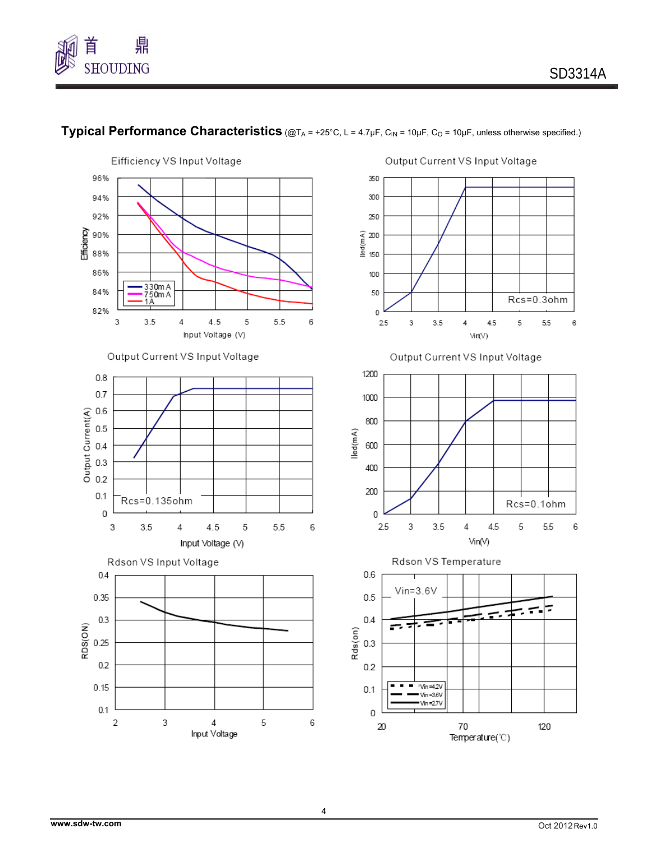



# **Typical Performance Characteristics** (@TA = +25°C, L = 4.7µF, C<sub>IN</sub> = 10µF, C<sub>O</sub> = 10µF, unless otherwise specified.)

Output Current VS Input Voltage

4.5

Rcs=0.3ohm

 $55$ 

6

5







Input Voltage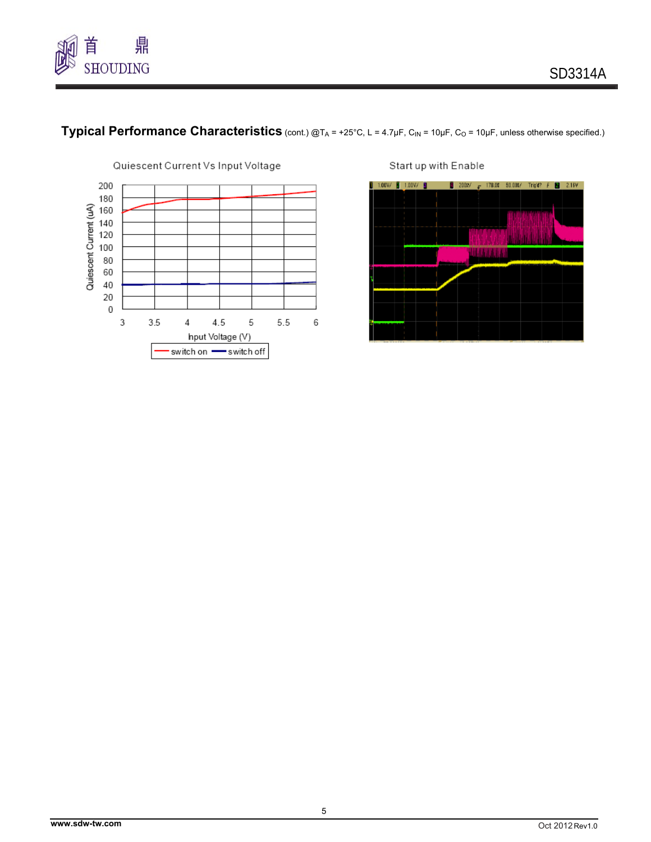





Start up with Enable

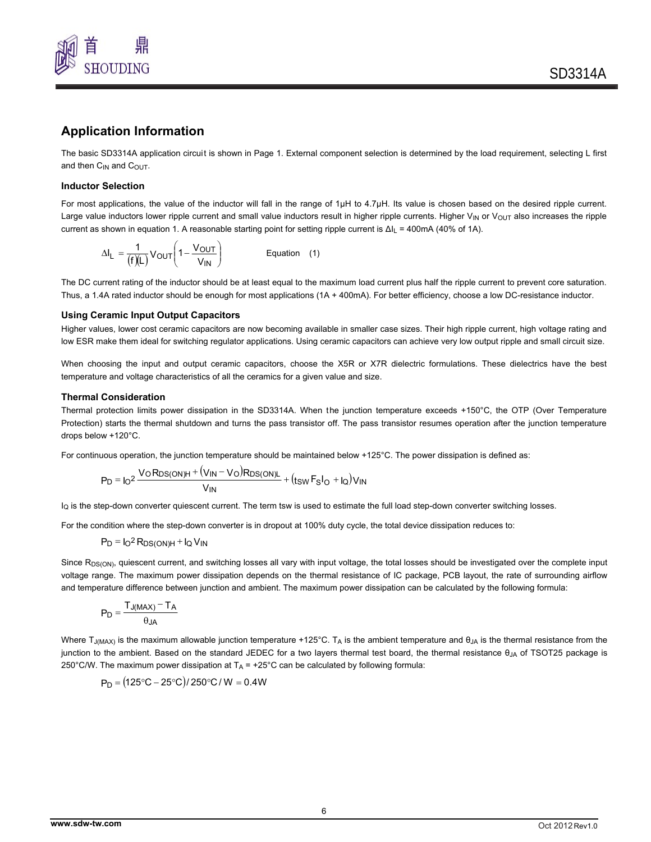

### **Application Information**

The basic SD3314A application circuit is shown in Page 1. External component selection is determined by the load requirement, selecting L first and then C<sub>IN</sub> and C<sub>OUT</sub>.

### **Inductor Selection**

For most applications, the value of the inductor will fall in the range of 1μH to 4.7μH. Its value is chosen based on the desired ripple current. Large value inductors lower ripple current and small value inductors result in higher ripple currents. Higher  $V_{\text{IN}}$  or  $V_{\text{OUT}}$  also increases the ripple current as shown in equation 1. A reasonable starting point for setting ripple current is Δl<sub>L</sub> = 400mA (40% of 1A).

$$
\Delta I_{L} = \frac{1}{(f)(L)} V_{OUT} \left( 1 - \frac{V_{OUT}}{V_{IN}} \right)
$$
 Equation (1)

The DC current rating of the inductor should be at least equal to the maximum load current plus half the ripple current to prevent core saturation. Thus, a 1.4A rated inductor should be enough for most applications (1A + 400mA). For better efficiency, choose a low DC-resistance inductor.

#### **Using Ceramic Input Output Capacitors**

Higher values, lower cost ceramic capacitors are now becoming available in smaller case sizes. Their high ripple current, high voltage rating and low ESR make them ideal for switching regulator applications. Using ceramic capacitors can achieve very low output ripple and small circuit size.

When choosing the input and output ceramic capacitors, choose the X5R or X7R dielectric formulations. These dielectrics have the best temperature and voltage characteristics of all the ceramics for a given value and size.

### **Thermal Consideration**

Thermal protection limits power dissipation in the SD3314A. When the junction temperature exceeds +150°C, the OTP (Over Temperature Protection) starts the thermal shutdown and turns the pass transistor off. The pass transistor resumes operation after the junction temperature drops below +120°C.

For continuous operation, the junction temperature should be maintained below +125°C. The power dissipation is defined as:

$$
P_D = I_0^2 \frac{V_0 R_{DS(ON)H} + (V_{IN} - V_0) R_{DS(ON)L}}{V_{IN}} + (t_{SW} F_S I_0 + I_0) V_{IN}
$$

IQ is the step-down converter quiescent current. The term tsw is used to estimate the full load step-down converter switching losses.

For the condition where the step-down converter is in dropout at 100% duty cycle, the total device dissipation reduces to:

$$
P_D = I_O^2 R_{DS(ON)H} + I_Q V_{IN}
$$

Since R<sub>DS(ON)</sub>, quiescent current, and switching losses all vary with input voltage, the total losses should be investigated over the complete input voltage range. The maximum power dissipation depends on the thermal resistance of IC package, PCB layout, the rate of surrounding airflow and temperature difference between junction and ambient. The maximum power dissipation can be calculated by the following formula:

$$
P_D = \frac{T_{J(MAX)} - T_A}{\theta_{JA}}
$$

Where T<sub>J(MAX)</sub> is the maximum allowable junction temperature +125°C. T<sub>A</sub> is the ambient temperature and  $\theta_{JA}$  is the thermal resistance from the junction to the ambient. Based on the standard JEDEC for a two layers thermal test board, the thermal resistance θ<sub>JA</sub> of TSOT25 package is 250°C/W. The maximum power dissipation at  $T_A$  = +25°C can be calculated by following formula:

$$
P_D = (125^{\circ}C - 25^{\circ}C)/250^{\circ}C/W = 0.4W
$$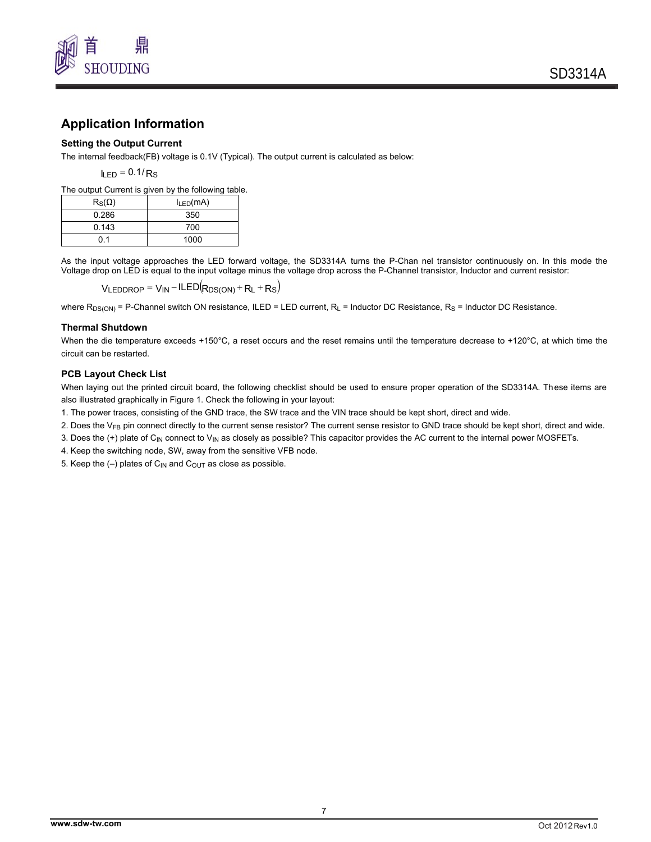

## **Application Information**

### **Setting the Output Current**

The internal feedback(FB) voltage is 0.1V (Typical). The output current is calculated as below:

 $I_{\text{IFD}} = 0.1/R$ S

The output Current is given by the following table.

| $R_S(\Omega)$ | $I_{LED}(mA)$ |  |
|---------------|---------------|--|
| 0.286         | 350           |  |
| 0.143         | 700           |  |
| 01            | 1000          |  |

As the input voltage approaches the LED forward voltage, the SD3314A turns the P-Chan nel transistor continuously on. In this mode the Voltage drop on LED is equal to the input voltage minus the voltage drop across the P-Channel transistor, Inductor and current resistor:

 $V_{LEDDROP} = V_{IN} - ILED(R_{DS(ON)} + R_L + R_S)$ 

where  $R_{DS(ON)}$  = P-Channel switch ON resistance, ILED = LED current,  $R_L$  = Inductor DC Resistance,  $R_S$  = Inductor DC Resistance.

### **Thermal Shutdown**

When the die temperature exceeds +150°C, a reset occurs and the reset remains until the temperature decrease to +120°C, at which time the circuit can be restarted.

### **PCB Layout Check List**

When laying out the printed circuit board, the following checklist should be used to ensure proper operation of the SD3314A. These items are also illustrated graphically in Figure 1. Check the following in your layout:

1. The power traces, consisting of the GND trace, the SW trace and the VIN trace should be kept short, direct and wide.

2. Does the V<sub>FB</sub> pin connect directly to the current sense resistor? The current sense resistor to GND trace should be kept short, direct and wide.

3. Does the (+) plate of C<sub>IN</sub> connect to V<sub>IN</sub> as closely as possible? This capacitor provides the AC current to the internal power MOSFETs.

4. Keep the switching node, SW, away from the sensitive VFB node.

5. Keep the  $(-)$  plates of C<sub>IN</sub> and C<sub>OUT</sub> as close as possible.